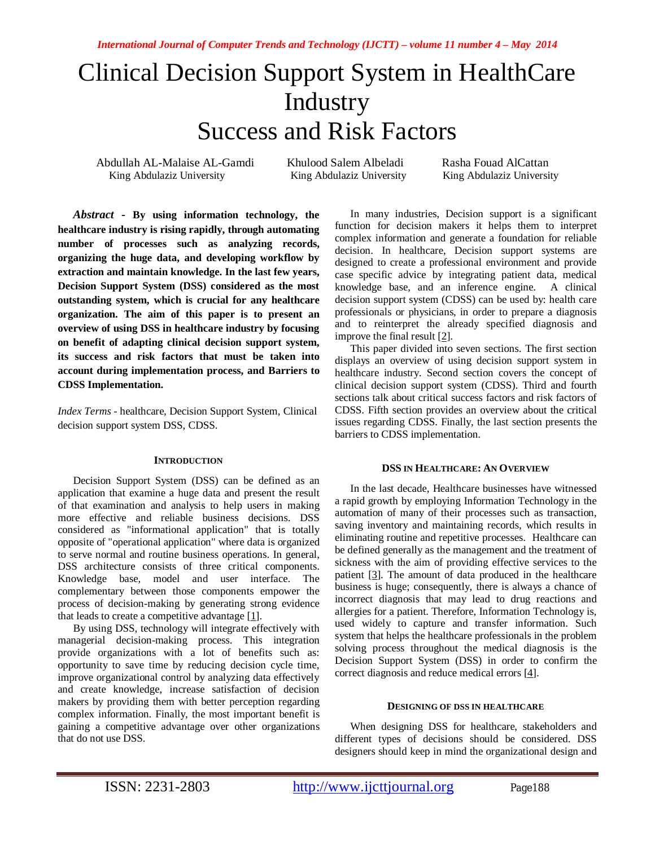# Clinical Decision Support System in HealthCare **Industry** Success and Risk Factors

Abdullah AL-Malaise AL-Gamdi Khulood Salem Albeladi Rasha Fouad AlCattan<br>King Abdulaziz University King Abdulaziz University King Abdulaziz University

King Abdulaziz University

*Abstract* **- By using information technology, the healthcare industry is rising rapidly, through automating number of processes such as analyzing records, organizing the huge data, and developing workflow by extraction and maintain knowledge. In the last few years, Decision Support System (DSS) considered as the most outstanding system, which is crucial for any healthcare organization. The aim of this paper is to present an overview of using DSS in healthcare industry by focusing on benefit of adapting clinical decision support system, its success and risk factors that must be taken into account during implementation process, and Barriers to CDSS Implementation.**

*Index Terms* - healthcare, Decision Support System, Clinical decision support system DSS, CDSS.

#### **INTRODUCTION**

Decision Support System (DSS) can be defined as an application that examine a huge data and present the result of that examination and analysis to help users in making more effective and reliable business decisions. DSS considered as "informational application" that is totally opposite of "operational application" where data is organized to serve normal and routine business operations. In general, DSS architecture consists of three critical components. Knowledge base, model and user interface. The complementary between those components empower the process of decision-making by generating strong evidence that leads to create a competitive advantage  $[1]$ .

By using DSS, technology will integrate effectively with managerial decision-making process. This integration provide organizations with a lot of benefits such as: opportunity to save time by reducing decision cycle time, improve organizational control by analyzing data effectively and create knowledge, increase satisfaction of decision makers by providing them with better perception regarding complex information. Finally, the most important benefit is gaining a competitive advantage over other organizations that do not use DSS.

In many industries, Decision support is a significant function for decision makers it helps them to interpret complex information and generate a foundation for reliable decision. In healthcare, Decision support systems are designed to create a professional environment and provide case specific advice by integrating patient data, medical knowledge base, and an inference engine. A clinical decision support system (CDSS) can be used by: health care professionals or physicians, in order to prepare a diagnosis and to reinterpret the already specified diagnosis and improve the final result [2].

This paper divided into seven sections. The first section displays an overview of using decision support system in healthcare industry. Second section covers the concept of clinical decision support system (CDSS). Third and fourth sections talk about critical success factors and risk factors of CDSS. Fifth section provides an overview about the critical issues regarding CDSS. Finally, the last section presents the barriers to CDSS implementation.

#### **DSS IN HEALTHCARE: AN OVERVIEW**

In the last decade, Healthcare businesses have witnessed a rapid growth by employing Information Technology in the automation of many of their processes such as transaction, saving inventory and maintaining records, which results in eliminating routine and repetitive processes. Healthcare can be defined generally as the management and the treatment of sickness with the aim of providing effective services to the patient [3]. The amount of data produced in the healthcare business is huge; consequently, there is always a chance of incorrect diagnosis that may lead to drug reactions and allergies for a patient. Therefore, Information Technology is, used widely to capture and transfer information. Such system that helps the healthcare professionals in the problem solving process throughout the medical diagnosis is the Decision Support System (DSS) in order to confirm the correct diagnosis and reduce medical errors [4].

#### **DESIGNING OF DSS IN HEALTHCARE**

When designing DSS for healthcare, stakeholders and different types of decisions should be considered. DSS designers should keep in mind the organizational design and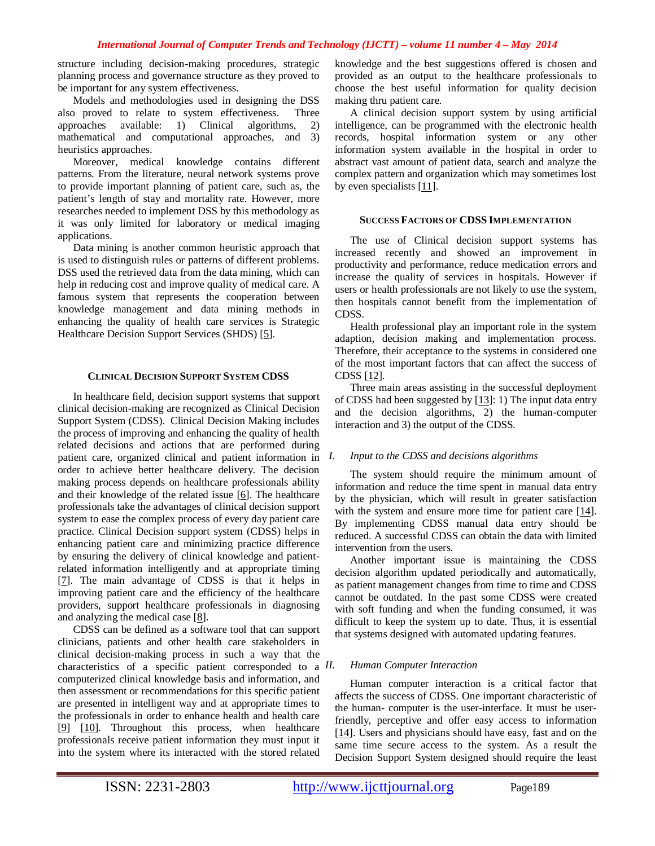structure including decision-making procedures, strategic planning process and governance structure as they proved to be important for any system effectiveness.

Models and methodologies used in designing the DSS also proved to relate to system effectiveness. Three approaches available: 1) Clinical algorithms, 2) mathematical and computational approaches, and 3) heuristics approaches.

Moreover, medical knowledge contains different patterns. From the literature, neural network systems prove to provide important planning of patient care, such as, the patient's length of stay and mortality rate. However, more researches needed to implement DSS by this methodology as it was only limited for laboratory or medical imaging applications.

Data mining is another common heuristic approach that is used to distinguish rules or patterns of different problems. DSS used the retrieved data from the data mining, which can help in reducing cost and improve quality of medical care. A famous system that represents the cooperation between knowledge management and data mining methods in enhancing the quality of health care services is Strategic Healthcare Decision Support Services (SHDS) [5].

#### **CLINICAL DECISION SUPPORT SYSTEM CDSS**

In healthcare field, decision support systems that support clinical decision-making are recognized as Clinical Decision Support System (CDSS). Clinical Decision Making includes the process of improving and enhancing the quality of health related decisions and actions that are performed during patient care, organized clinical and patient information in order to achieve better healthcare delivery. The decision making process depends on healthcare professionals ability and their knowledge of the related issue [6]. The healthcare professionals take the advantages of clinical decision support system to ease the complex process of every day patient care practice. Clinical Decision support system (CDSS) helps in enhancing patient care and minimizing practice difference by ensuring the delivery of clinical knowledge and patientrelated information intelligently and at appropriate timing [7]. The main advantage of CDSS is that it helps in improving patient care and the efficiency of the healthcare providers, support healthcare professionals in diagnosing and analyzing the medical case [8].

CDSS can be defined as a software tool that can support clinicians, patients and other health care stakeholders in clinical decision-making process in such a way that the characteristics of a specific patient corresponded to a  $II$ . computerized clinical knowledge basis and information, and then assessment or recommendations for this specific patient are presented in intelligent way and at appropriate times to the professionals in order to enhance health and health care [9] [10]. Throughout this process, when healthcare professionals receive patient information they must input it into the system where its interacted with the stored related

knowledge and the best suggestions offered is chosen and provided as an output to the healthcare professionals to choose the best useful information for quality decision making thru patient care.

A clinical decision support system by using artificial intelligence, can be programmed with the electronic health records, hospital information system or any other information system available in the hospital in order to abstract vast amount of patient data, search and analyze the complex pattern and organization which may sometimes lost by even specialists [11].

#### **SUCCESS FACTORS OF CDSS IMPLEMENTATION**

The use of Clinical decision support systems has increased recently and showed an improvement in productivity and performance, reduce medication errors and increase the quality of services in hospitals. However if users or health professionals are not likely to use the system, then hospitals cannot benefit from the implementation of CDSS.

Health professional play an important role in the system adaption, decision making and implementation process. Therefore, their acceptance to the systems in considered one of the most important factors that can affect the success of CDSS [12].

Three main areas assisting in the successful deployment of CDSS had been suggested by [13]: 1) The input data entry and the decision algorithms, 2) the human-computer interaction and 3) the output of the CDSS.

# *I. Input to the CDSS and decisions algorithms*

The system should require the minimum amount of information and reduce the time spent in manual data entry by the physician, which will result in greater satisfaction with the system and ensure more time for patient care [14]. By implementing CDSS manual data entry should be reduced. A successful CDSS can obtain the data with limited intervention from the users.

Another important issue is maintaining the CDSS decision algorithm updated periodically and automatically, as patient management changes from time to time and CDSS cannot be outdated. In the past some CDSS were created with soft funding and when the funding consumed, it was difficult to keep the system up to date. Thus, it is essential that systems designed with automated updating features.

# *II. Human Computer Interaction*

Human computer interaction is a critical factor that affects the success of CDSS. One important characteristic of the human- computer is the user-interface. It must be userfriendly, perceptive and offer easy access to information [14]. Users and physicians should have easy, fast and on the same time secure access to the system. As a result the Decision Support System designed should require the least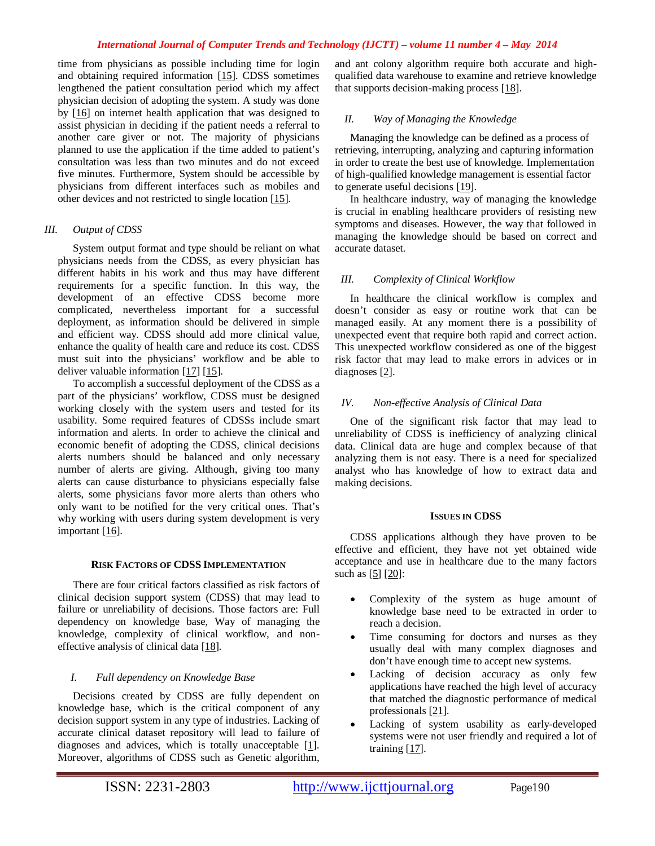time from physicians as possible including time for login and obtaining required information [15]. CDSS sometimes lengthened the patient consultation period which my affect physician decision of adopting the system. A study was done by [16] on internet health application that was designed to assist physician in deciding if the patient needs a referral to another care giver or not. The majority of physicians planned to use the application if the time added to patient's consultation was less than two minutes and do not exceed five minutes. Furthermore, System should be accessible by physicians from different interfaces such as mobiles and other devices and not restricted to single location [15].

## *III. Output of CDSS*

System output format and type should be reliant on what physicians needs from the CDSS, as every physician has different habits in his work and thus may have different requirements for a specific function. In this way, the development of an effective CDSS become more complicated, nevertheless important for a successful deployment, as information should be delivered in simple and efficient way. CDSS should add more clinical value, enhance the quality of health care and reduce its cost. CDSS must suit into the physicians' workflow and be able to deliver valuable information [17] [15].

To accomplish a successful deployment of the CDSS as a part of the physicians' workflow, CDSS must be designed working closely with the system users and tested for its usability. Some required features of CDSSs include smart information and alerts. In order to achieve the clinical and economic benefit of adopting the CDSS, clinical decisions alerts numbers should be balanced and only necessary number of alerts are giving. Although, giving too many alerts can cause disturbance to physicians especially false alerts, some physicians favor more alerts than others who only want to be notified for the very critical ones. That's why working with users during system development is very important [16].

#### **RISK FACTORS OF CDSS IMPLEMENTATION**

There are four critical factors classified as risk factors of clinical decision support system (CDSS) that may lead to failure or unreliability of decisions. Those factors are: Full dependency on knowledge base, Way of managing the knowledge, complexity of clinical workflow, and noneffective analysis of clinical data [18].

## *I. Full dependency on Knowledge Base*

Decisions created by CDSS are fully dependent on knowledge base, which is the critical component of any decision support system in any type of industries. Lacking of accurate clinical dataset repository will lead to failure of diagnoses and advices, which is totally unacceptable [1]. Moreover, algorithms of CDSS such as Genetic algorithm, and ant colony algorithm require both accurate and highqualified data warehouse to examine and retrieve knowledge that supports decision-making process [18].

#### *II. Way of Managing the Knowledge*

Managing the knowledge can be defined as a process of retrieving, interrupting, analyzing and capturing information in order to create the best use of knowledge. Implementation of high-qualified knowledge management is essential factor to generate useful decisions [19].

In healthcare industry, way of managing the knowledge is crucial in enabling healthcare providers of resisting new symptoms and diseases. However, the way that followed in managing the knowledge should be based on correct and accurate dataset.

# *III. Complexity of Clinical Workflow*

In healthcare the clinical workflow is complex and doesn't consider as easy or routine work that can be managed easily. At any moment there is a possibility of unexpected event that require both rapid and correct action. This unexpected workflow considered as one of the biggest risk factor that may lead to make errors in advices or in diagnoses [2].

## *IV. Non-effective Analysis of Clinical Data*

One of the significant risk factor that may lead to unreliability of CDSS is inefficiency of analyzing clinical data. Clinical data are huge and complex because of that analyzing them is not easy. There is a need for specialized analyst who has knowledge of how to extract data and making decisions.

#### **ISSUES IN CDSS**

CDSS applications although they have proven to be effective and efficient, they have not yet obtained wide acceptance and use in healthcare due to the many factors such as  $[5]$   $[20]$ :

- Complexity of the system as huge amount of knowledge base need to be extracted in order to reach a decision.
- Time consuming for doctors and nurses as they usually deal with many complex diagnoses and don't have enough time to accept new systems.
- Lacking of decision accuracy as only few applications have reached the high level of accuracy that matched the diagnostic performance of medical professionals [21].
- Lacking of system usability as early-developed systems were not user friendly and required a lot of training [17].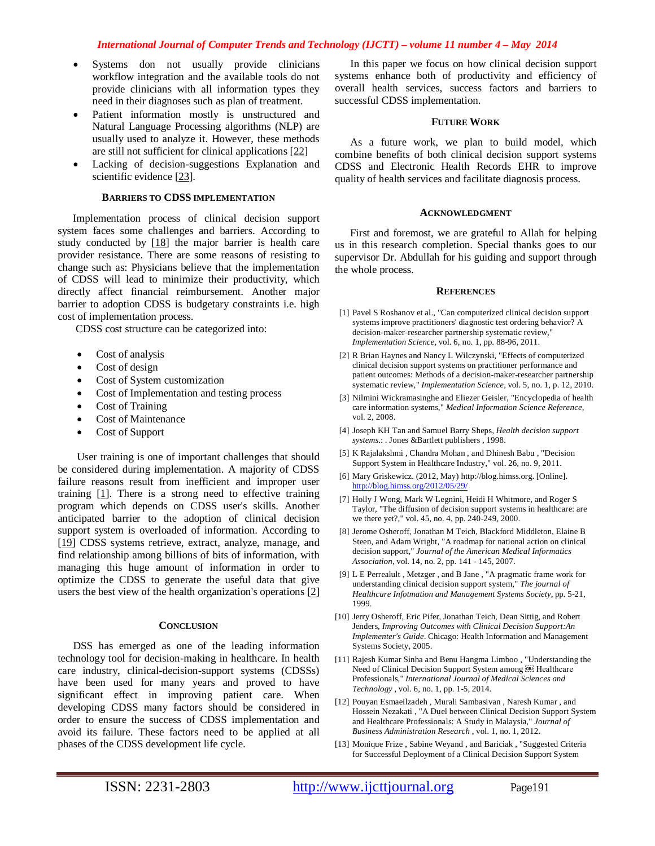- Systems don not usually provide clinicians workflow integration and the available tools do not provide clinicians with all information types they need in their diagnoses such as plan of treatment.
- Patient information mostly is unstructured and Natural Language Processing algorithms (NLP) are usually used to analyze it. However, these methods are still not sufficient for clinical applications [22]
- Lacking of decision-suggestions Explanation and scientific evidence [23].

#### **BARRIERS TO CDSS IMPLEMENTATION**

Implementation process of clinical decision support system faces some challenges and barriers. According to study conducted by  $[18]$  the major barrier is health care provider resistance. There are some reasons of resisting to change such as: Physicians believe that the implementation of CDSS will lead to minimize their productivity, which directly affect financial reimbursement. Another major barrier to adoption CDSS is budgetary constraints i.e. high cost of implementation process.

CDSS cost structure can be categorized into:

- Cost of analysis
- Cost of design
- Cost of System customization
- Cost of Implementation and testing process
- Cost of Training
- Cost of Maintenance
- Cost of Support

User training is one of important challenges that should be considered during implementation. A majority of CDSS failure reasons result from inefficient and improper user training  $[1]$ . There is a strong need to effective training program which depends on CDSS user's skills. Another anticipated barrier to the adoption of clinical decision support system is overloaded of information. According to [19] CDSS systems retrieve, extract, analyze, manage, and find relationship among billions of bits of information, with managing this huge amount of information in order to optimize the CDSS to generate the useful data that give users the best view of the health organization's operations [2]

#### **CONCLUSION**

DSS has emerged as one of the leading information technology tool for decision-making in healthcare. In health care industry, clinical-decision-support systems (CDSSs) have been used for many years and proved to have significant effect in improving patient care. When developing CDSS many factors should be considered in order to ensure the success of CDSS implementation and avoid its failure. These factors need to be applied at all phases of the CDSS development life cycle.

In this paper we focus on how clinical decision support systems enhance both of productivity and efficiency of overall health services, success factors and barriers to successful CDSS implementation.

#### **FUTURE WORK**

As a future work, we plan to build model, which combine benefits of both clinical decision support systems CDSS and Electronic Health Records EHR to improve quality of health services and facilitate diagnosis process.

#### **ACKNOWLEDGMENT**

First and foremost, we are grateful to Allah for helping us in this research completion. Special thanks goes to our supervisor Dr. Abdullah for his guiding and support through the whole process.

#### **REFERENCES**

- [1] Pavel S Roshanov et al., "Can computerized clinical decision support systems improve practitioners' diagnostic test ordering behavior? A decision-maker-researcher partnership systematic review," *Implementation Science*, vol. 6, no. 1, pp. 88-96, 2011.
- [2] R Brian Haynes and Nancy L Wilczynski, "Effects of computerized clinical decision support systems on practitioner performance and patient outcomes: Methods of a decision-maker-researcher partnership systematic review," *Implementation Science*, vol. 5, no. 1, p. 12, 2010.
- [3] Nilmini Wickramasinghe and Eliezer Geisler, "Encyclopedia of health care information systems," *Medical Information Science Reference*, vol. 2, 2008.
- [4] Joseph KH Tan and Samuel Barry Sheps, *Health decision support systems*.: . Jones &Bartlett publishers , 1998.
- [5] K Rajalakshmi , Chandra Mohan , and Dhinesh Babu , "Decision Support System in Healthcare Industry," vol. 26, no. 9, 2011.
- [6] Mary Griskewicz. (2012, May) http://blog.himss.org. [Online]. http://blog.himss.org/2012/05/29/
- [7] Holly J Wong, Mark W Legnini, Heidi H Whitmore, and Roger S Taylor, "The diffusion of decision support systems in healthcare: are we there yet?," vol. 45, no. 4, pp. 240-249, 2000.
- [8] Jerome Osheroff, Jonathan M Teich, Blackford Middleton, Elaine B Steen, and Adam Wright, "A roadmap for national action on clinical decision support," *Journal of the American Medical Informatics Association*, vol. 14, no. 2, pp. 141 - 145, 2007.
- [9] L E Perrealult , Metzger , and B Jane , "A pragmatic frame work for understanding clinical decision support system," *The journal of Healthcare Infotmation and Management Systems Society*, pp. 5-21, 1999.
- [10] Jerry Osheroff, Eric Pifer, Jonathan Teich, Dean Sittig, and Robert Jenders, *Improving Outcomes with Clinical Decision Support:An Implementer's Guide*. Chicago: Health Information and Management Systems Society, 2005.
- [11] Rajesh Kumar Sinha and Benu Hangma Limboo , "Understanding the Need of Clinical Decision Support System among **ED** Healthcare Professionals," *International Journal of Medical Sciences and Technology* , vol. 6, no. 1, pp. 1-5, 2014.
- [12] Pouyan Esmaeilzadeh , Murali Sambasivan , Naresh Kumar , and Hossein Nezakati , "A Duel between Clinical Decision Support System and Healthcare Professionals: A Study in Malaysia," *Journal of Business Administration Research* , vol. 1, no. 1, 2012.
- [13] Monique Frize , Sabine Weyand , and Bariciak , "Suggested Criteria for Successful Deployment of a Clinical Decision Support System